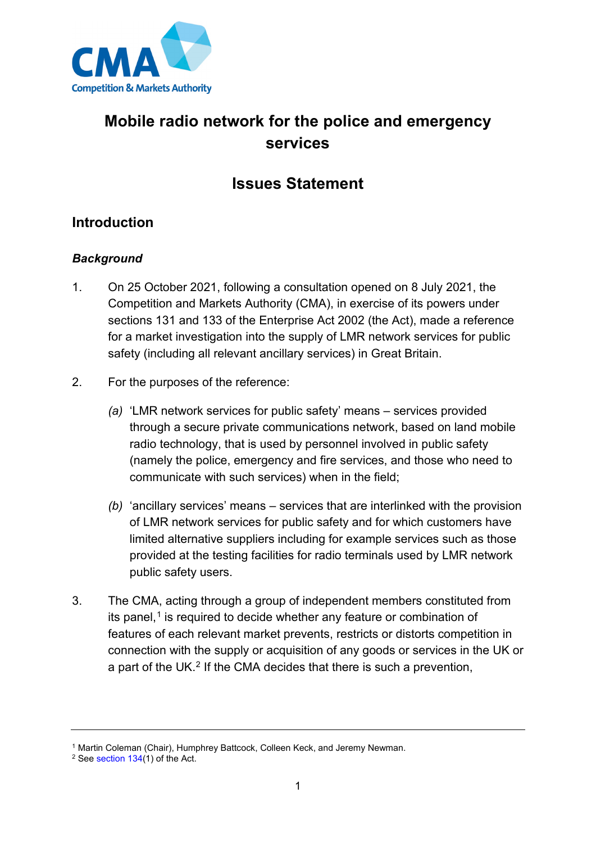

# **Mobile radio network for the police and emergency services**

# **Issues Statement**

## **Introduction**

## *Background*

- 1. On 25 October 2021, following a consultation opened on 8 July 2021, the Competition and Markets Authority (CMA), in exercise of its powers under sections 131 and 133 of the Enterprise Act 2002 (the Act), made a reference for a market investigation into the supply of LMR network services for public safety (including all relevant ancillary services) in Great Britain.
- 2. For the purposes of the reference:
	- *(a)* 'LMR network services for public safety' means services provided through a secure private communications network, based on land mobile radio technology, that is used by personnel involved in public safety (namely the police, emergency and fire services, and those who need to communicate with such services) when in the field;
	- *(b)* 'ancillary services' means services that are interlinked with the provision of LMR network services for public safety and for which customers have limited alternative suppliers including for example services such as those provided at the testing facilities for radio terminals used by LMR network public safety users.
- 3. The CMA, acting through a group of independent members constituted from its panel, $<sup>1</sup>$  $<sup>1</sup>$  $<sup>1</sup>$  is required to decide whether any feature or combination of</sup> features of each relevant market prevents, restricts or distorts competition in connection with the supply or acquisition of any goods or services in the UK or a part of the UK.<sup>[2](#page-0-1)</sup> If the CMA decides that there is such a prevention,

<span id="page-0-0"></span><sup>&</sup>lt;sup>1</sup> Martin Coleman (Chair), Humphrey Battcock, Colleen Keck, and Jeremy Newman.

<span id="page-0-1"></span><sup>2</sup> See [section 134\(](http://www.legislation.gov.uk/ukpga/2002/40/section/134)1) of the Act.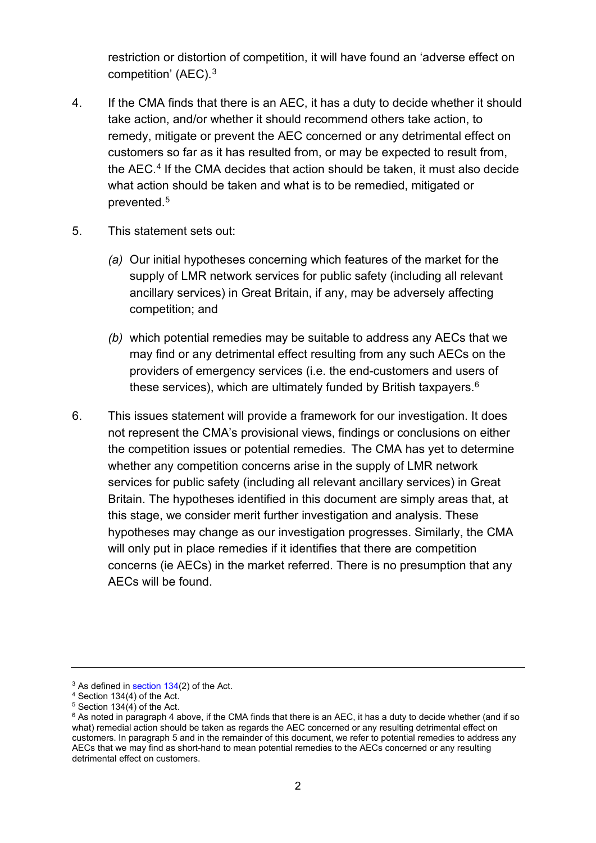restriction or distortion of competition, it will have found an 'adverse effect on competition' (AEC).[3](#page-1-0)

- 4. If the CMA finds that there is an AEC, it has a duty to decide whether it should take action, and/or whether it should recommend others take action, to remedy, mitigate or prevent the AEC concerned or any detrimental effect on customers so far as it has resulted from, or may be expected to result from, the AEC. [4](#page-1-1) If the CMA decides that action should be taken, it must also decide what action should be taken and what is to be remedied, mitigated or prevented.[5](#page-1-2)
- 5. This statement sets out:
	- *(a)* Our initial hypotheses concerning which features of the market for the supply of LMR network services for public safety (including all relevant ancillary services) in Great Britain, if any, may be adversely affecting competition; and
	- *(b)* which potential remedies may be suitable to address any AECs that we may find or any detrimental effect resulting from any such AECs on the providers of emergency services (i.e. the end-customers and users of these services), which are ultimately funded by British taxpayers.<sup>[6](#page-1-3)</sup>
- 6. This issues statement will provide a framework for our investigation. It does not represent the CMA's provisional views, findings or conclusions on either the competition issues or potential remedies. The CMA has yet to determine whether any competition concerns arise in the supply of LMR network services for public safety (including all relevant ancillary services) in Great Britain. The hypotheses identified in this document are simply areas that, at this stage, we consider merit further investigation and analysis. These hypotheses may change as our investigation progresses. Similarly, the CMA will only put in place remedies if it identifies that there are competition concerns (ie AECs) in the market referred. There is no presumption that any AECs will be found.

<span id="page-1-0"></span><sup>&</sup>lt;sup>3</sup> As defined i[n section 134\(](http://www.legislation.gov.uk/ukpga/2002/40/section/134)2) of the Act.

<span id="page-1-1"></span> $4$  Section 134(4) of [the Act.](http://www.legislation.gov.uk/ukpga/2002/40/contents)<br> $5$  Section 134(4) of the Act.

<span id="page-1-3"></span><span id="page-1-2"></span> $6$  As noted in paragraph 4 above, if the CMA finds that there is an AEC, it has a duty to decide whether (and if so what) remedial action should be taken as regards the AEC concerned or any resulting detrimental effect on customers. In paragraph 5 and in the remainder of this document, we refer to potential remedies to address any AECs that we may find as short-hand to mean potential remedies to the AECs concerned or any resulting detrimental effect on customers.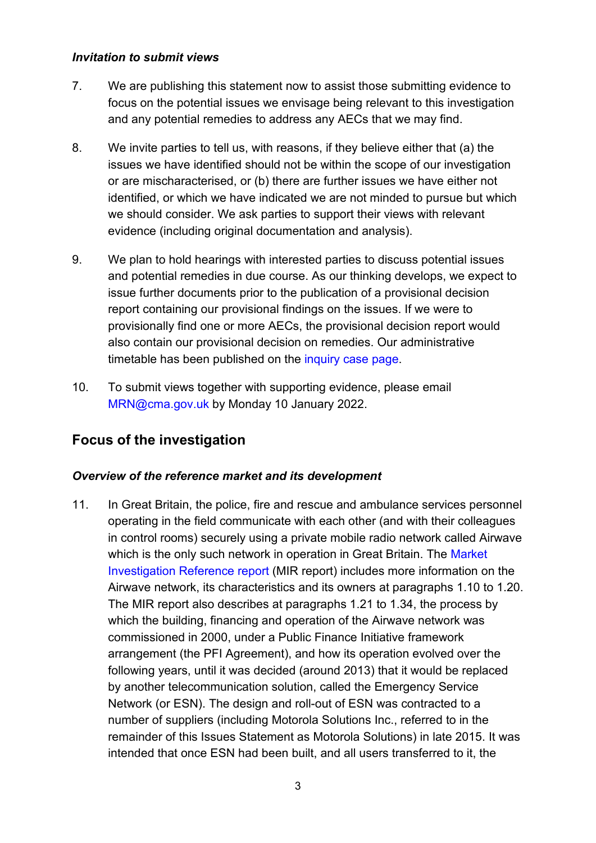#### *Invitation to submit views*

- 7. We are publishing this statement now to assist those submitting evidence to focus on the potential issues we envisage being relevant to this investigation and any potential remedies to address any AECs that we may find.
- 8. We invite parties to tell us, with reasons, if they believe either that (a) the issues we have identified should not be within the scope of our investigation or are mischaracterised, or (b) there are further issues we have either not identified, or which we have indicated we are not minded to pursue but which we should consider. We ask parties to support their views with relevant evidence (including original documentation and analysis).
- 9. We plan to hold hearings with interested parties to discuss potential issues and potential remedies in due course. As our thinking develops, we expect to issue further documents prior to the publication of a provisional decision report containing our provisional findings on the issues. If we were to provisionally find one or more AECs, the provisional decision report would also contain our provisional decision on remedies. Our administrative timetable has been published on the [inquiry case page.](https://assets.publishing.service.gov.uk/media/617fc8e4e90e071981081689/MRN_Administrative_timetable.pdf)
- 10. To submit views together with supporting evidence, please email [MRN@cma.gov.uk](mailto:MRN@cma.gov.uk) by Monday 10 January 2022.

## **Focus of the investigation**

#### *Overview of the reference market and its development*

11. In Great Britain, the police, fire and rescue and ambulance services personnel operating in the field communicate with each other (and with their colleagues in control rooms) securely using a private mobile radio network called Airwave which is the only such network in operation in Great Britain. The Market [Investigation Reference report](https://assets.publishing.service.gov.uk/media/61729a738fa8f52982a861a2/Final_report.pdf) (MIR report) includes more information on the Airwave network, its characteristics and its owners at paragraphs 1.10 to 1.20. The MIR report also describes at paragraphs 1.21 to 1.34, the process by which the building, financing and operation of the Airwave network was commissioned in 2000, under a Public Finance Initiative framework arrangement (the PFI Agreement), and how its operation evolved over the following years, until it was decided (around 2013) that it would be replaced by another telecommunication solution, called the Emergency Service Network (or ESN). The design and roll-out of ESN was contracted to a number of suppliers (including Motorola Solutions Inc., referred to in the remainder of this Issues Statement as Motorola Solutions) in late 2015. It was intended that once ESN had been built, and all users transferred to it, the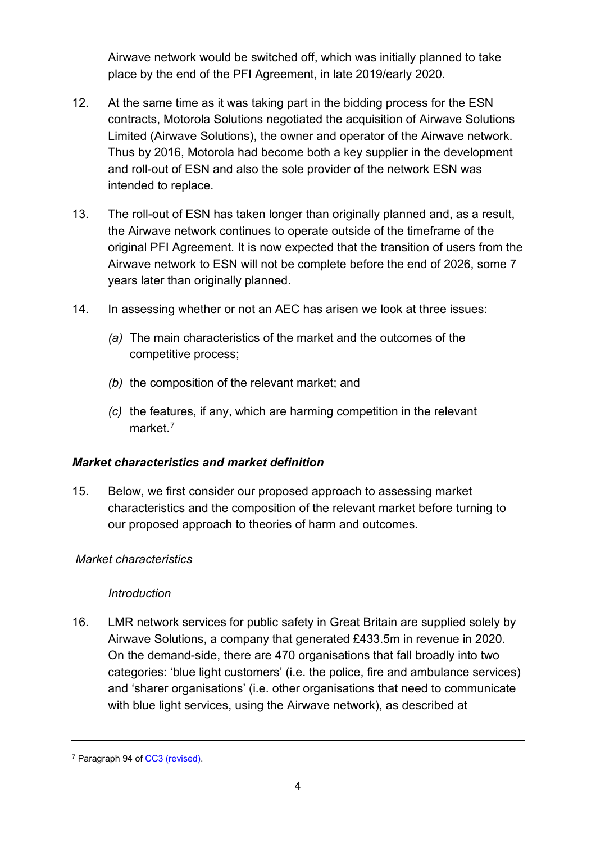Airwave network would be switched off, which was initially planned to take place by the end of the PFI Agreement, in late 2019/early 2020.

- 12. At the same time as it was taking part in the bidding process for the ESN contracts, Motorola Solutions negotiated the acquisition of Airwave Solutions Limited (Airwave Solutions), the owner and operator of the Airwave network. Thus by 2016, Motorola had become both a key supplier in the development and roll-out of ESN and also the sole provider of the network ESN was intended to replace.
- 13. The roll-out of ESN has taken longer than originally planned and, as a result, the Airwave network continues to operate outside of the timeframe of the original PFI Agreement. It is now expected that the transition of users from the Airwave network to ESN will not be complete before the end of 2026, some 7 years later than originally planned.
- 14. In assessing whether or not an AEC has arisen we look at three issues:
	- *(a)* The main characteristics of the market and the outcomes of the competitive process;
	- *(b)* the composition of the relevant market; and
	- *(c)* the features, if any, which are harming competition in the relevant market. [7](#page-3-0)

#### *Market characteristics and market definition*

15. Below, we first consider our proposed approach to assessing market characteristics and the composition of the relevant market before turning to our proposed approach to theories of harm and outcomes.

#### *Market characteristics*

#### *Introduction*

16. LMR network services for public safety in Great Britain are supplied solely by Airwave Solutions, a company that generated £433.5m in revenue in 2020. On the demand-side, there are 470 organisations that fall broadly into two categories: 'blue light customers' (i.e. the police, fire and ambulance services) and 'sharer organisations' (i.e. other organisations that need to communicate with blue light services, using the Airwave network), as described at

<span id="page-3-0"></span><sup>7</sup> Paragraph 94 of [CC3 \(revised\).](https://assets.publishing.service.gov.uk/government/uploads/system/uploads/attachment_data/file/284390/cc3_revised.pdf)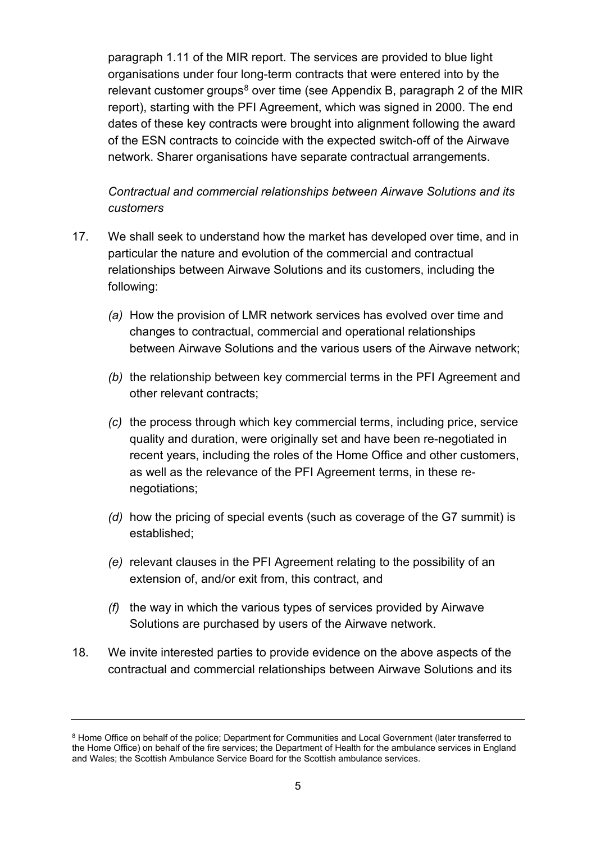paragraph 1.11 of the MIR report. The services are provided to blue light organisations under four long-term contracts that were entered into by the relevant customer groups<sup>[8](#page-4-0)</sup> over time (see Appendix B, paragraph 2 of the MIR report), starting with the PFI Agreement, which was signed in 2000. The end dates of these key contracts were brought into alignment following the award of the ESN contracts to coincide with the expected switch-off of the Airwave network. Sharer organisations have separate contractual arrangements.

*Contractual and commercial relationships between Airwave Solutions and its customers*

- <span id="page-4-1"></span>17. We shall seek to understand how the market has developed over time, and in particular the nature and evolution of the commercial and contractual relationships between Airwave Solutions and its customers, including the following:
	- *(a)* How the provision of LMR network services has evolved over time and changes to contractual, commercial and operational relationships between Airwave Solutions and the various users of the Airwave network;
	- *(b)* the relationship between key commercial terms in the PFI Agreement and other relevant contracts;
	- *(c)* the process through which key commercial terms, including price, service quality and duration, were originally set and have been re-negotiated in recent years, including the roles of the Home Office and other customers, as well as the relevance of the PFI Agreement terms, in these renegotiations;
	- *(d)* how the pricing of special events (such as coverage of the G7 summit) is established;
	- *(e)* relevant clauses in the PFI Agreement relating to the possibility of an extension of, and/or exit from, this contract, and
	- *(f)* the way in which the various types of services provided by Airwave Solutions are purchased by users of the Airwave network.
- 18. We invite interested parties to provide evidence on the above aspects of the contractual and commercial relationships between Airwave Solutions and its

<span id="page-4-0"></span><sup>8</sup> Home Office on behalf of the police; Department for Communities and Local Government (later transferred to the Home Office) on behalf of the fire services; the Department of Health for the ambulance services in England and Wales; the Scottish Ambulance Service Board for the Scottish ambulance services.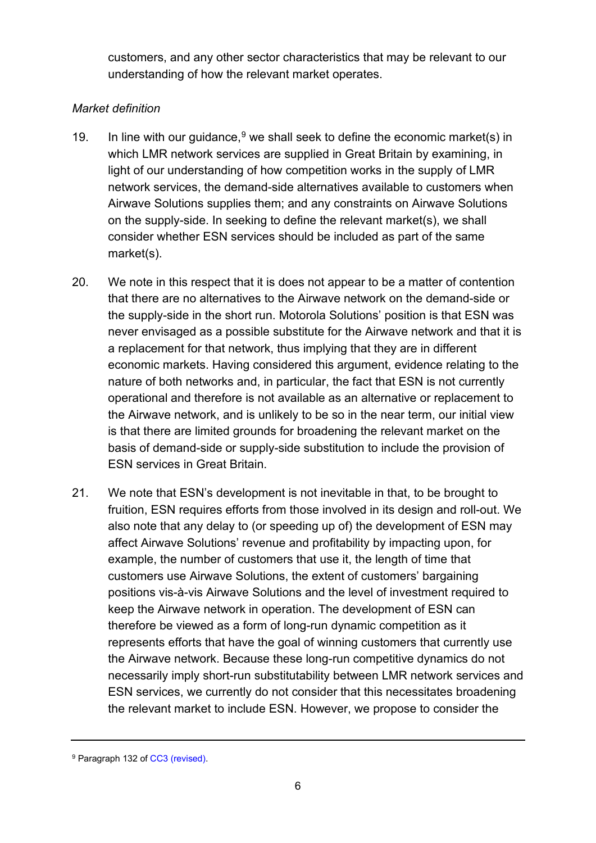customers, and any other sector characteristics that may be relevant to our understanding of how the relevant market operates.

## *Market definition*

- <span id="page-5-1"></span>1[9](#page-5-0). In line with our guidance,  $9$  we shall seek to define the economic market(s) in which LMR network services are supplied in Great Britain by examining, in light of our understanding of how competition works in the supply of LMR network services, the demand-side alternatives available to customers when Airwave Solutions supplies them; and any constraints on Airwave Solutions on the supply-side. In seeking to define the relevant market(s), we shall consider whether ESN services should be included as part of the same market(s).
- 20. We note in this respect that it is does not appear to be a matter of contention that there are no alternatives to the Airwave network on the demand-side or the supply-side in the short run. Motorola Solutions' position is that ESN was never envisaged as a possible substitute for the Airwave network and that it is a replacement for that network, thus implying that they are in different economic markets. Having considered this argument, evidence relating to the nature of both networks and, in particular, the fact that ESN is not currently operational and therefore is not available as an alternative or replacement to the Airwave network, and is unlikely to be so in the near term, our initial view is that there are limited grounds for broadening the relevant market on the basis of demand-side or supply-side substitution to include the provision of ESN services in Great Britain.
- <span id="page-5-2"></span>21. We note that ESN's development is not inevitable in that, to be brought to fruition, ESN requires efforts from those involved in its design and roll-out. We also note that any delay to (or speeding up of) the development of ESN may affect Airwave Solutions' revenue and profitability by impacting upon, for example, the number of customers that use it, the length of time that customers use Airwave Solutions, the extent of customers' bargaining positions vis-à-vis Airwave Solutions and the level of investment required to keep the Airwave network in operation. The development of ESN can therefore be viewed as a form of long-run dynamic competition as it represents efforts that have the goal of winning customers that currently use the Airwave network. Because these long-run competitive dynamics do not necessarily imply short-run substitutability between LMR network services and ESN services, we currently do not consider that this necessitates broadening the relevant market to include ESN. However, we propose to consider the

<span id="page-5-0"></span><sup>&</sup>lt;sup>9</sup> Paragraph 132 of CC3 (revised).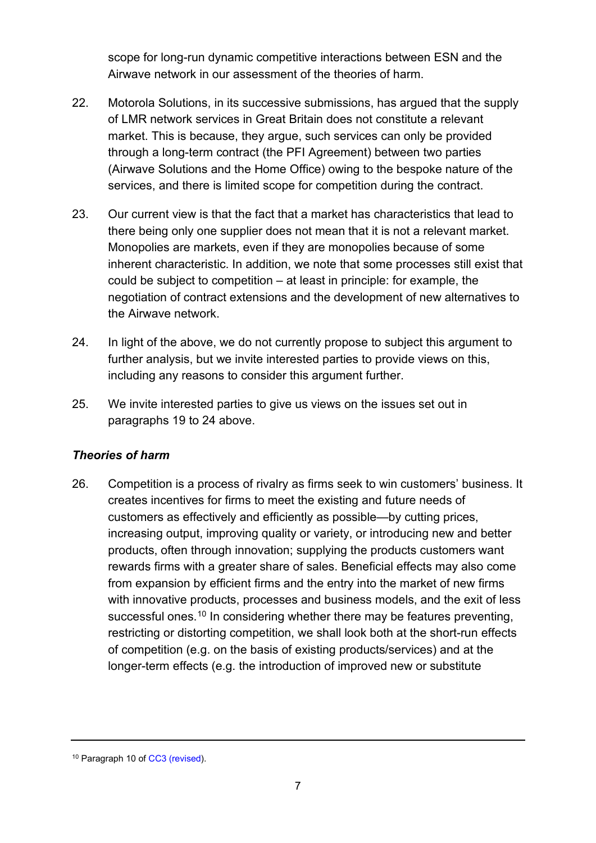scope for long-run dynamic competitive interactions between ESN and the Airwave network in our assessment of the theories of harm.

- 22. Motorola Solutions, in its successive submissions, has argued that the supply of LMR network services in Great Britain does not constitute a relevant market. This is because, they argue, such services can only be provided through a long-term contract (the PFI Agreement) between two parties (Airwave Solutions and the Home Office) owing to the bespoke nature of the services, and there is limited scope for competition during the contract.
- 23. Our current view is that the fact that a market has characteristics that lead to there being only one supplier does not mean that it is not a relevant market. Monopolies are markets, even if they are monopolies because of some inherent characteristic. In addition, we note that some processes still exist that could be subject to competition – at least in principle: for example, the negotiation of contract extensions and the development of new alternatives to the Airwave network.
- <span id="page-6-0"></span>24. In light of the above, we do not currently propose to subject this argument to further analysis, but we invite interested parties to provide views on this, including any reasons to consider this argument further.
- 25. We invite interested parties to give us views on the issues set out in paragraphs [19](#page-5-1) to [24](#page-6-0) above.

## *Theories of harm*

26. Competition is a process of rivalry as firms seek to win customers' business. It creates incentives for firms to meet the existing and future needs of customers as effectively and efficiently as possible—by cutting prices, increasing output, improving quality or variety, or introducing new and better products, often through innovation; supplying the products customers want rewards firms with a greater share of sales. Beneficial effects may also come from expansion by efficient firms and the entry into the market of new firms with innovative products, processes and business models, and the exit of less successful ones.<sup>[10](#page-6-1)</sup> In considering whether there may be features preventing, restricting or distorting competition, we shall look both at the short-run effects of competition (e.g. on the basis of existing products/services) and at the longer-term effects (e.g. the introduction of improved new or substitute

<span id="page-6-1"></span><sup>10</sup> Paragraph 10 of [CC3 \(revised\)](https://assets.publishing.service.gov.uk/government/uploads/system/uploads/attachment_data/file/284390/cc3_revised.pdf).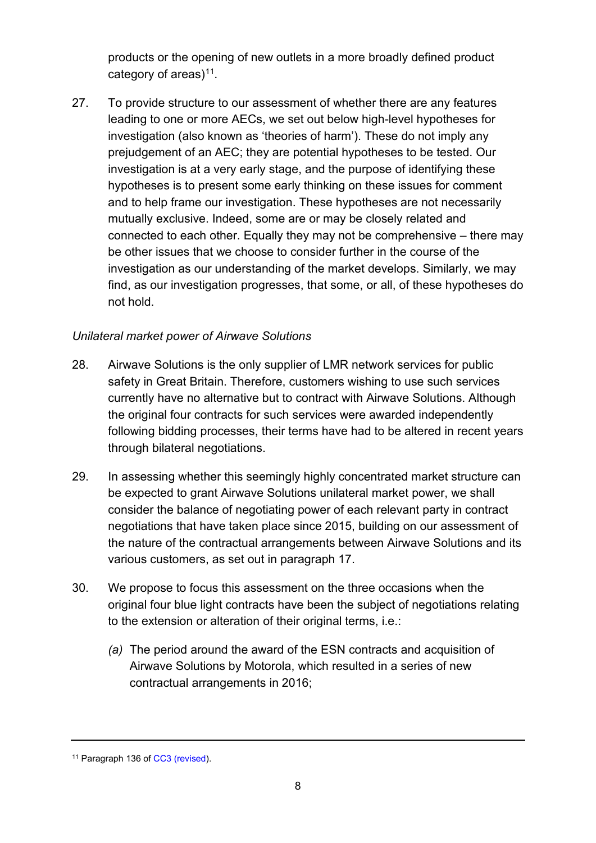products or the opening of new outlets in a more broadly defined product category of areas) $11$ .

27. To provide structure to our assessment of whether there are any features leading to one or more AECs, we set out below high-level hypotheses for investigation (also known as 'theories of harm'). These do not imply any prejudgement of an AEC; they are potential hypotheses to be tested. Our investigation is at a very early stage, and the purpose of identifying these hypotheses is to present some early thinking on these issues for comment and to help frame our investigation. These hypotheses are not necessarily mutually exclusive. Indeed, some are or may be closely related and connected to each other. Equally they may not be comprehensive – there may be other issues that we choose to consider further in the course of the investigation as our understanding of the market develops. Similarly, we may find, as our investigation progresses, that some, or all, of these hypotheses do not hold.

## *Unilateral market power of Airwave Solutions*

- <span id="page-7-1"></span>28. Airwave Solutions is the only supplier of LMR network services for public safety in Great Britain. Therefore, customers wishing to use such services currently have no alternative but to contract with Airwave Solutions. Although the original four contracts for such services were awarded independently following bidding processes, their terms have had to be altered in recent years through bilateral negotiations.
- 29. In assessing whether this seemingly highly concentrated market structure can be expected to grant Airwave Solutions unilateral market power, we shall consider the balance of negotiating power of each relevant party in contract negotiations that have taken place since 2015, building on our assessment of the nature of the contractual arrangements between Airwave Solutions and its various customers, as set out in paragraph [17.](#page-4-1)
- 30. We propose to focus this assessment on the three occasions when the original four blue light contracts have been the subject of negotiations relating to the extension or alteration of their original terms, i.e.:
	- *(a)* The period around the award of the ESN contracts and acquisition of Airwave Solutions by Motorola, which resulted in a series of new contractual arrangements in 2016;

<span id="page-7-0"></span><sup>&</sup>lt;sup>11</sup> Paragraph 136 of [CC3 \(revised\)](https://assets.publishing.service.gov.uk/government/uploads/system/uploads/attachment_data/file/284390/cc3_revised.pdf).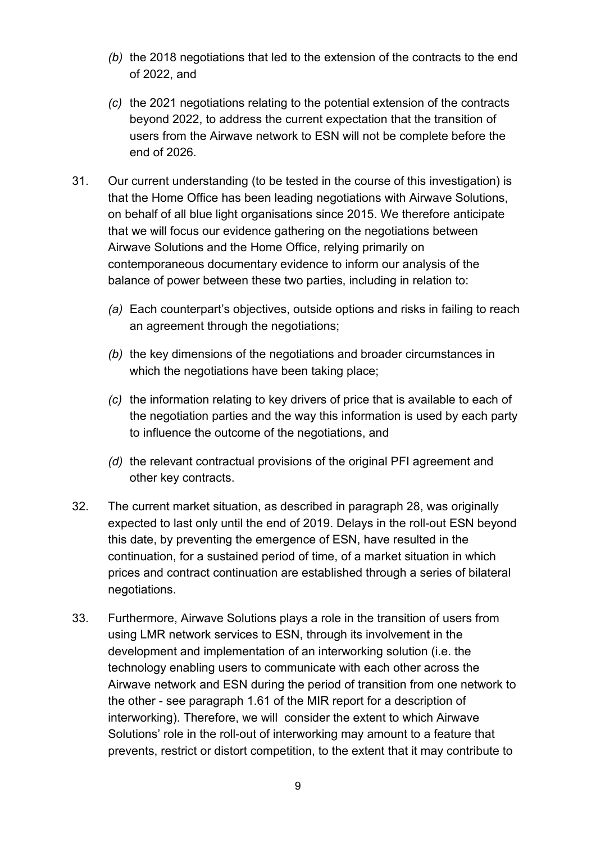- *(b)* the 2018 negotiations that led to the extension of the contracts to the end of 2022, and
- *(c)* the 2021 negotiations relating to the potential extension of the contracts beyond 2022, to address the current expectation that the transition of users from the Airwave network to ESN will not be complete before the end of 2026.
- 31. Our current understanding (to be tested in the course of this investigation) is that the Home Office has been leading negotiations with Airwave Solutions, on behalf of all blue light organisations since 2015. We therefore anticipate that we will focus our evidence gathering on the negotiations between Airwave Solutions and the Home Office, relying primarily on contemporaneous documentary evidence to inform our analysis of the balance of power between these two parties, including in relation to:
	- *(a)* Each counterpart's objectives, outside options and risks in failing to reach an agreement through the negotiations;
	- *(b)* the key dimensions of the negotiations and broader circumstances in which the negotiations have been taking place;
	- *(c)* the information relating to key drivers of price that is available to each of the negotiation parties and the way this information is used by each party to influence the outcome of the negotiations, and
	- *(d)* the relevant contractual provisions of the original PFI agreement and other key contracts.
- 32. The current market situation, as described in paragraph [28,](#page-7-1) was originally expected to last only until the end of 2019. Delays in the roll-out ESN beyond this date, by preventing the emergence of ESN, have resulted in the continuation, for a sustained period of time, of a market situation in which prices and contract continuation are established through a series of bilateral negotiations.
- 33. Furthermore, Airwave Solutions plays a role in the transition of users from using LMR network services to ESN, through its involvement in the development and implementation of an interworking solution (i.e. the technology enabling users to communicate with each other across the Airwave network and ESN during the period of transition from one network to the other - see paragraph 1.61 of the MIR report for a description of interworking). Therefore, we will consider the extent to which Airwave Solutions' role in the roll-out of interworking may amount to a feature that prevents, restrict or distort competition, to the extent that it may contribute to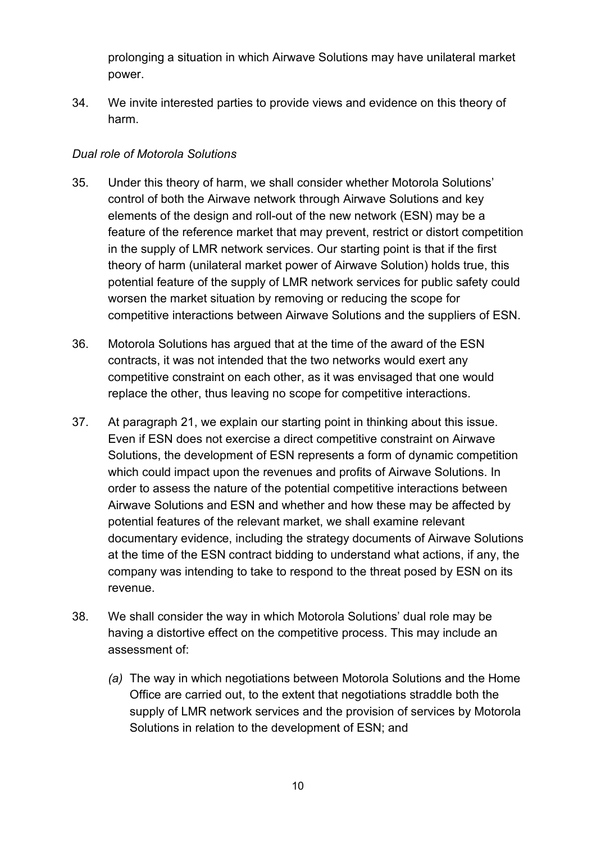prolonging a situation in which Airwave Solutions may have unilateral market power.

34. We invite interested parties to provide views and evidence on this theory of harm.

## *Dual role of Motorola Solutions*

- 35. Under this theory of harm, we shall consider whether Motorola Solutions' control of both the Airwave network through Airwave Solutions and key elements of the design and roll-out of the new network (ESN) may be a feature of the reference market that may prevent, restrict or distort competition in the supply of LMR network services. Our starting point is that if the first theory of harm (unilateral market power of Airwave Solution) holds true, this potential feature of the supply of LMR network services for public safety could worsen the market situation by removing or reducing the scope for competitive interactions between Airwave Solutions and the suppliers of ESN.
- 36. Motorola Solutions has argued that at the time of the award of the ESN contracts, it was not intended that the two networks would exert any competitive constraint on each other, as it was envisaged that one would replace the other, thus leaving no scope for competitive interactions.
- 37. At paragraph [21,](#page-5-2) we explain our starting point in thinking about this issue. Even if ESN does not exercise a direct competitive constraint on Airwave Solutions, the development of ESN represents a form of dynamic competition which could impact upon the revenues and profits of Airwave Solutions. In order to assess the nature of the potential competitive interactions between Airwave Solutions and ESN and whether and how these may be affected by potential features of the relevant market, we shall examine relevant documentary evidence, including the strategy documents of Airwave Solutions at the time of the ESN contract bidding to understand what actions, if any, the company was intending to take to respond to the threat posed by ESN on its revenue.
- 38. We shall consider the way in which Motorola Solutions' dual role may be having a distortive effect on the competitive process. This may include an assessment of:
	- *(a)* The way in which negotiations between Motorola Solutions and the Home Office are carried out, to the extent that negotiations straddle both the supply of LMR network services and the provision of services by Motorola Solutions in relation to the development of ESN; and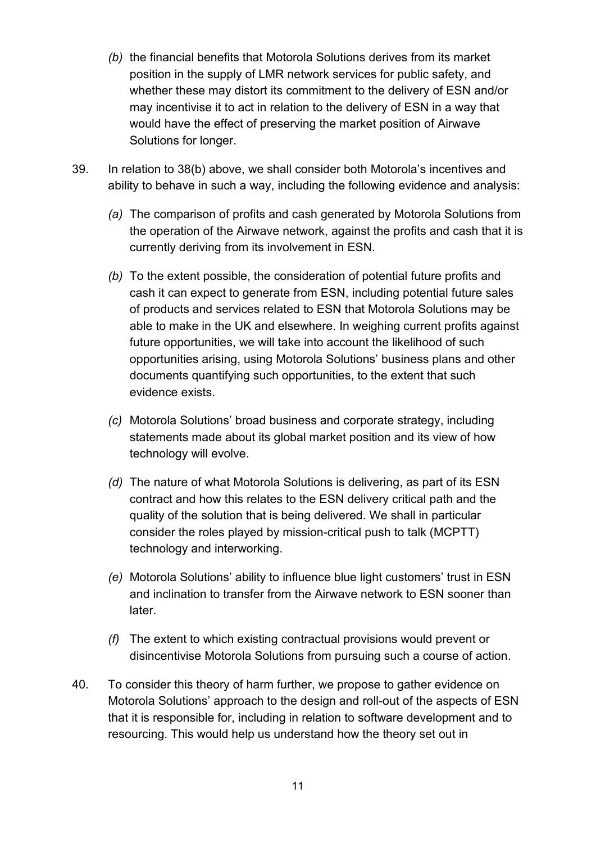- <span id="page-10-0"></span>*(b)* the financial benefits that Motorola Solutions derives from its market position in the supply of LMR network services for public safety, and whether these may distort its commitment to the delivery of ESN and/or may incentivise it to act in relation to the delivery of ESN in a way that would have the effect of preserving the market position of Airwave Solutions for longer.
- 39. In relation to [38\(b\)](#page-10-0) above, we shall consider both Motorola's incentives and ability to behave in such a way, including the following evidence and analysis:
	- *(a)* The comparison of profits and cash generated by Motorola Solutions from the operation of the Airwave network, against the profits and cash that it is currently deriving from its involvement in ESN.
	- *(b)* To the extent possible, the consideration of potential future profits and cash it can expect to generate from ESN, including potential future sales of products and services related to ESN that Motorola Solutions may be able to make in the UK and elsewhere. In weighing current profits against future opportunities, we will take into account the likelihood of such opportunities arising, using Motorola Solutions' business plans and other documents quantifying such opportunities, to the extent that such evidence exists.
	- *(c)* Motorola Solutions' broad business and corporate strategy, including statements made about its global market position and its view of how technology will evolve.
	- *(d)* The nature of what Motorola Solutions is delivering, as part of its ESN contract and how this relates to the ESN delivery critical path and the quality of the solution that is being delivered. We shall in particular consider the roles played by mission-critical push to talk (MCPTT) technology and interworking.
	- *(e)* Motorola Solutions' ability to influence blue light customers' trust in ESN and inclination to transfer from the Airwave network to ESN sooner than later.
	- *(f)* The extent to which existing contractual provisions would prevent or disincentivise Motorola Solutions from pursuing such a course of action.
- 40. To consider this theory of harm further, we propose to gather evidence on Motorola Solutions' approach to the design and roll-out of the aspects of ESN that it is responsible for, including in relation to software development and to resourcing. This would help us understand how the theory set out in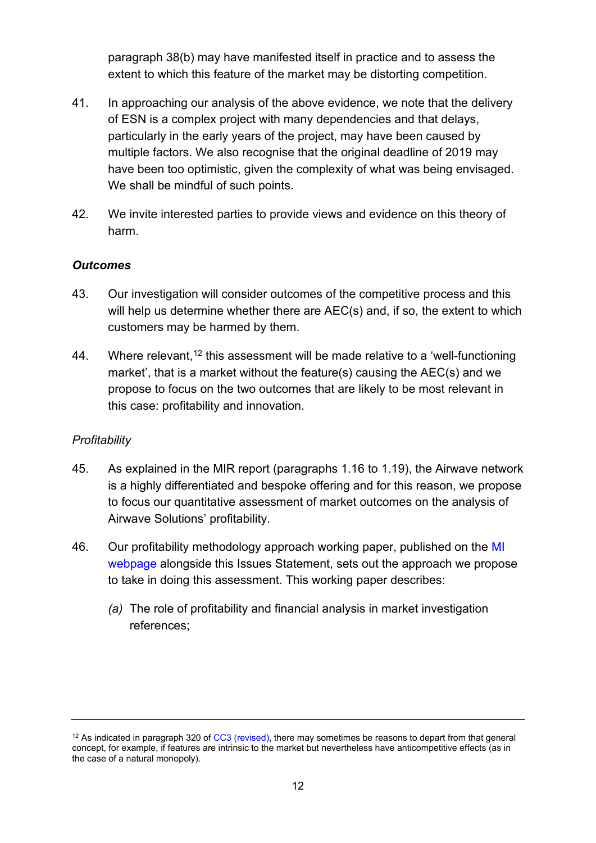paragraph [38\(b\)](#page-10-0) may have manifested itself in practice and to assess the extent to which this feature of the market may be distorting competition.

- 41. In approaching our analysis of the above evidence, we note that the delivery of ESN is a complex project with many dependencies and that delays, particularly in the early years of the project, may have been caused by multiple factors. We also recognise that the original deadline of 2019 may have been too optimistic, given the complexity of what was being envisaged. We shall be mindful of such points.
- 42. We invite interested parties to provide views and evidence on this theory of harm.

## *Outcomes*

- 43. Our investigation will consider outcomes of the competitive process and this will help us determine whether there are AEC(s) and, if so, the extent to which customers may be harmed by them.
- 44. Where relevant,<sup>[12](#page-11-0)</sup> this assessment will be made relative to a 'well-functioning market', that is a market without the feature(s) causing the AEC(s) and we propose to focus on the two outcomes that are likely to be most relevant in this case: profitability and innovation.

## *Profitability*

- <span id="page-11-1"></span>45. As explained in the MIR report (paragraphs 1.16 to 1.19), the Airwave network is a highly differentiated and bespoke offering and for this reason, we propose to focus our quantitative assessment of market outcomes on the analysis of Airwave Solutions' profitability.
- 46. Our profitability methodology approach working paper, published on the [MI](https://www.gov.uk/cma-cases/mobile-radio-network-services)  [webpage](https://www.gov.uk/cma-cases/mobile-radio-network-services) alongside this Issues Statement, sets out the approach we propose to take in doing this assessment. This working paper describes:
	- *(a)* The role of profitability and financial analysis in market investigation references;

<span id="page-11-0"></span><sup>&</sup>lt;sup>12</sup> As indicated in paragraph 320 of [CC3 \(revised\),](https://assets.publishing.service.gov.uk/government/uploads/system/uploads/attachment_data/file/284390/cc3_revised.pdf) there may sometimes be reasons to depart from that general concept, for example, if features are intrinsic to the market but nevertheless have anticompetitive effects (as in the case of a natural monopoly).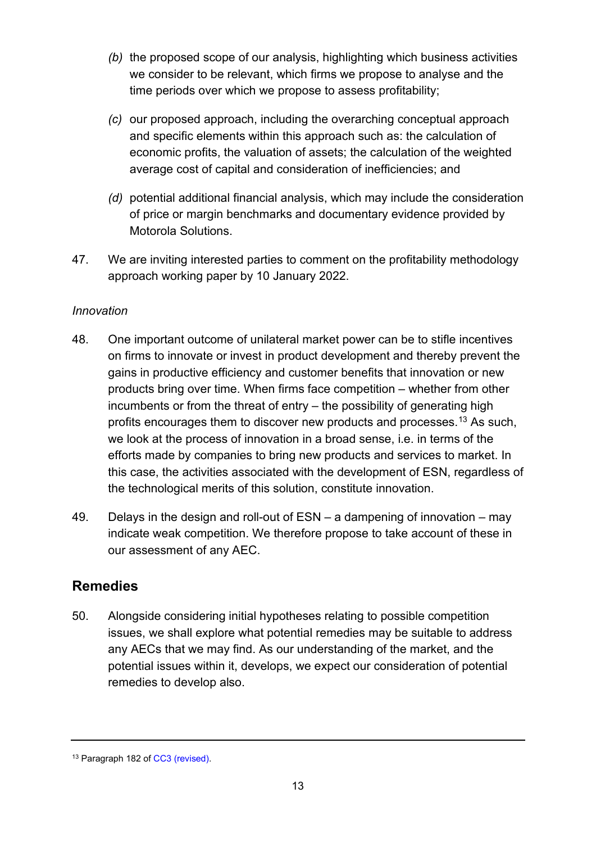- *(b)* the proposed scope of our analysis, highlighting which business activities we consider to be relevant, which firms we propose to analyse and the time periods over which we propose to assess profitability;
- *(c)* our proposed approach, including the overarching conceptual approach and specific elements within this approach such as: the calculation of economic profits, the valuation of assets; the calculation of the weighted average cost of capital and consideration of inefficiencies; and
- *(d)* potential additional financial analysis, which may include the consideration of price or margin benchmarks and documentary evidence provided by Motorola Solutions.
- <span id="page-12-1"></span>47. We are inviting interested parties to comment on the profitability methodology approach working paper by 10 January 2022.

## *Innovation*

- 48. One important outcome of unilateral market power can be to stifle incentives on firms to innovate or invest in product development and thereby prevent the gains in productive efficiency and customer benefits that innovation or new products bring over time. When firms face competition – whether from other incumbents or from the threat of entry – the possibility of generating high profits encourages them to discover new products and processes.[13](#page-12-0) As such, we look at the process of innovation in a broad sense, i.e. in terms of the efforts made by companies to bring new products and services to market. In this case, the activities associated with the development of ESN, regardless of the technological merits of this solution, constitute innovation.
- 49. Delays in the design and roll-out of ESN a dampening of innovation may indicate weak competition. We therefore propose to take account of these in our assessment of any AEC.

# **Remedies**

50. Alongside considering initial hypotheses relating to possible competition issues, we shall explore what potential remedies may be suitable to address any AECs that we may find. As our understanding of the market, and the potential issues within it, develops, we expect our consideration of potential remedies to develop also.

<span id="page-12-0"></span><sup>13</sup> Paragraph 182 of [CC3 \(revised\).](https://assets.publishing.service.gov.uk/government/uploads/system/uploads/attachment_data/file/284390/cc3_revised.pdf)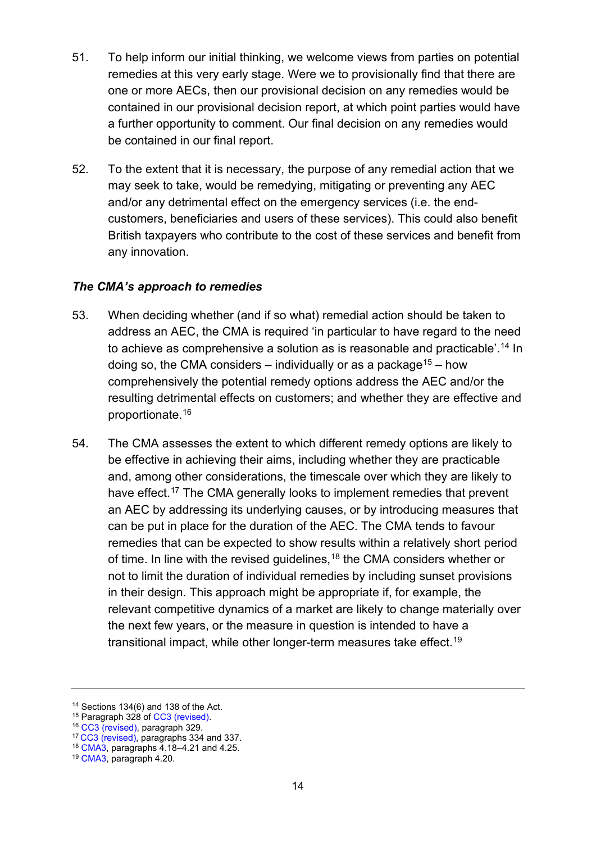- 51. To help inform our initial thinking, we welcome views from parties on potential remedies at this very early stage. Were we to provisionally find that there are one or more AECs, then our provisional decision on any remedies would be contained in our provisional decision report, at which point parties would have a further opportunity to comment. Our final decision on any remedies would be contained in our final report.
- 52. To the extent that it is necessary, the purpose of any remedial action that we may seek to take, would be remedying, mitigating or preventing any AEC and/or any detrimental effect on the emergency services (i.e. the endcustomers, beneficiaries and users of these services). This could also benefit British taxpayers who contribute to the cost of these services and benefit from any innovation.

#### *The CMA's approach to remedies*

- 53. When deciding whether (and if so what) remedial action should be taken to address an AEC, the CMA is required 'in particular to have regard to the need to achieve as comprehensive a solution as is reasonable and practicable'.<sup>[14](#page-13-0)</sup> In doing so, the CMA considers – individually or as a package<sup>15</sup> – how comprehensively the potential remedy options address the AEC and/or the resulting detrimental effects on customers; and whether they are effective and proportionate.[16](#page-13-2)
- 54. The CMA assesses the extent to which different remedy options are likely to be effective in achieving their aims, including whether they are practicable and, among other considerations, the timescale over which they are likely to have effect.<sup>[17](#page-13-3)</sup> The CMA generally looks to implement remedies that prevent an AEC by addressing its underlying causes, or by introducing measures that can be put in place for the duration of the AEC. The CMA tends to favour remedies that can be expected to show results within a relatively short period of time. In line with the revised guidelines,<sup>[18](#page-13-4)</sup> the CMA considers whether or not to limit the duration of individual remedies by including sunset provisions in their design. This approach might be appropriate if, for example, the relevant competitive dynamics of a market are likely to change materially over the next few years, or the measure in question is intended to have a transitional impact, while other longer-term measures take effect. [19](#page-13-5)

<span id="page-13-0"></span><sup>&</sup>lt;sup>14</sup> Sections 134(6) and 138 of the Act.<br><sup>15</sup> Paragraph 328 of CC3 (revised).

<span id="page-13-1"></span>

<sup>&</sup>lt;sup>16</sup> [CC3 \(revised\)](https://www.gov.uk/government/publications/market-investigations-guidelines), paragraph 329.

<span id="page-13-3"></span><span id="page-13-2"></span><sup>&</sup>lt;sup>17</sup> [CC3 \(revised\)](https://www.gov.uk/government/publications/market-investigations-guidelines), paragraphs 334 and 337.

<span id="page-13-4"></span><sup>18</sup> [CMA3,](https://www.gov.uk/government/publications/market-studies-and-market-investigations-supplemental-guidance-on-the-cmas-approach) paragraphs 4.18–4.21 and 4.25.

<span id="page-13-5"></span><sup>19</sup> [CMA3,](https://www.gov.uk/government/publications/market-studies-and-market-investigations-supplemental-guidance-on-the-cmas-approach) paragraph 4.20.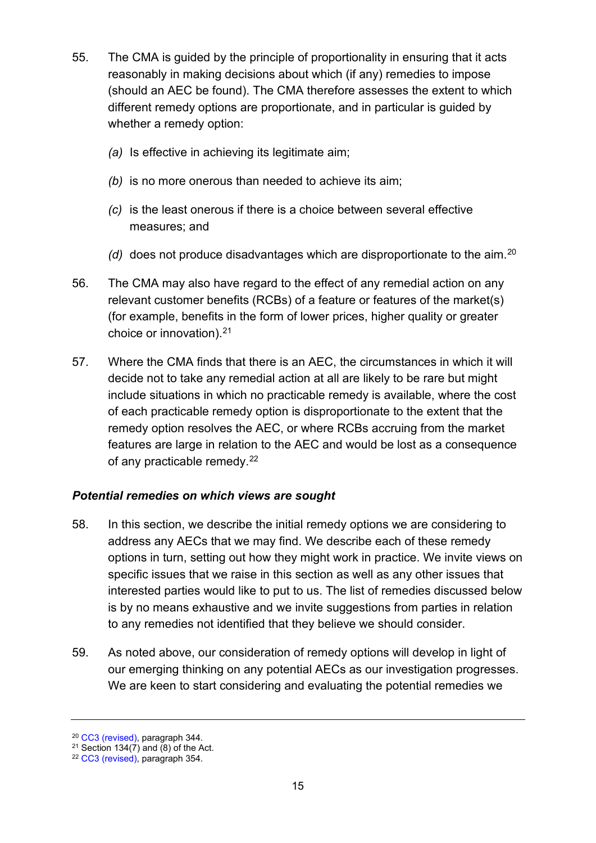- 55. The CMA is guided by the principle of proportionality in ensuring that it acts reasonably in making decisions about which (if any) remedies to impose (should an AEC be found). The CMA therefore assesses the extent to which different remedy options are proportionate, and in particular is guided by whether a remedy option:
	- *(a)* Is effective in achieving its legitimate aim;
	- *(b)* is no more onerous than needed to achieve its aim;
	- *(c)* is the least onerous if there is a choice between several effective measures; and
	- *(d)* does not produce disadvantages which are disproportionate to the aim.[20](#page-14-0)
- 56. The CMA may also have regard to the effect of any remedial action on any relevant customer benefits (RCBs) of a feature or features of the market(s) (for example, benefits in the form of lower prices, higher quality or greater choice or innovation). $21$
- 57. Where the CMA finds that there is an AEC, the circumstances in which it will decide not to take any remedial action at all are likely to be rare but might include situations in which no practicable remedy is available, where the cost of each practicable remedy option is disproportionate to the extent that the remedy option resolves the AEC, or where RCBs accruing from the market features are large in relation to the AEC and would be lost as a consequence of any practicable remedy.[22](#page-14-2)

## *Potential remedies on which views are sought*

- 58. In this section, we describe the initial remedy options we are considering to address any AECs that we may find. We describe each of these remedy options in turn, setting out how they might work in practice. We invite views on specific issues that we raise in this section as well as any other issues that interested parties would like to put to us. The list of remedies discussed below is by no means exhaustive and we invite suggestions from parties in relation to any remedies not identified that they believe we should consider.
- 59. As noted above, our consideration of remedy options will develop in light of our emerging thinking on any potential AECs as our investigation progresses. We are keen to start considering and evaluating the potential remedies we

<span id="page-14-0"></span><sup>20</sup> [CC3 \(revised\)](https://www.gov.uk/government/publications/market-investigations-guidelines), paragraph 344.

<span id="page-14-1"></span> $21$  Section 134(7) and (8) of the Act.

<span id="page-14-2"></span><sup>22</sup> [CC3 \(revised\)](https://www.gov.uk/government/publications/market-investigations-guidelines), paragraph 354.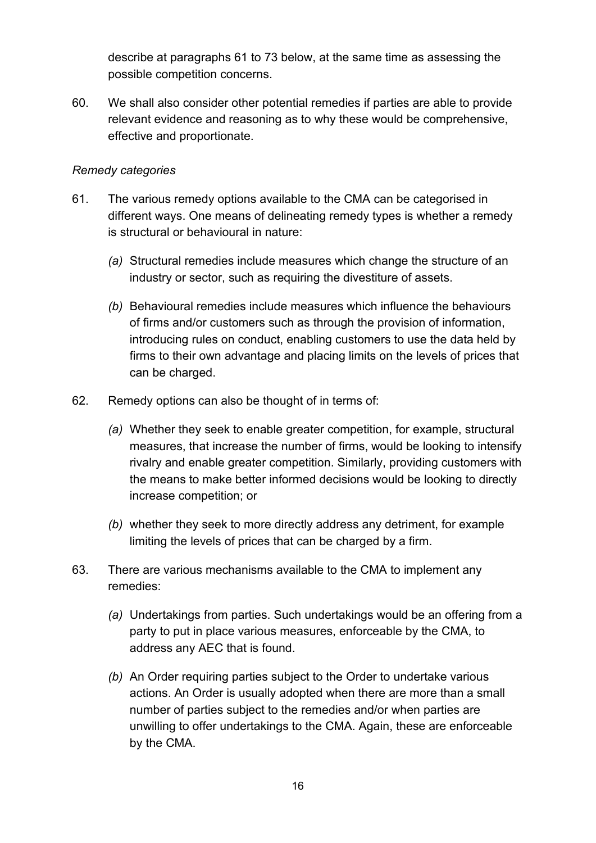describe at paragraphs [61](#page-15-0) to [73](#page-18-0) below, at the same time as assessing the possible competition concerns.

60. We shall also consider other potential remedies if parties are able to provide relevant evidence and reasoning as to why these would be comprehensive, effective and proportionate.

#### *Remedy categories*

- <span id="page-15-0"></span>61. The various remedy options available to the CMA can be categorised in different ways. One means of delineating remedy types is whether a remedy is structural or behavioural in nature:
	- *(a)* Structural remedies include measures which change the structure of an industry or sector, such as requiring the divestiture of assets.
	- *(b)* Behavioural remedies include measures which influence the behaviours of firms and/or customers such as through the provision of information, introducing rules on conduct, enabling customers to use the data held by firms to their own advantage and placing limits on the levels of prices that can be charged.
- 62. Remedy options can also be thought of in terms of:
	- *(a)* Whether they seek to enable greater competition, for example, structural measures, that increase the number of firms, would be looking to intensify rivalry and enable greater competition. Similarly, providing customers with the means to make better informed decisions would be looking to directly increase competition; or
	- *(b)* whether they seek to more directly address any detriment, for example limiting the levels of prices that can be charged by a firm.
- 63. There are various mechanisms available to the CMA to implement any remedies:
	- *(a)* Undertakings from parties. Such undertakings would be an offering from a party to put in place various measures, enforceable by the CMA, to address any AEC that is found.
	- *(b)* An Order requiring parties subject to the Order to undertake various actions. An Order is usually adopted when there are more than a small number of parties subject to the remedies and/or when parties are unwilling to offer undertakings to the CMA. Again, these are enforceable by the CMA.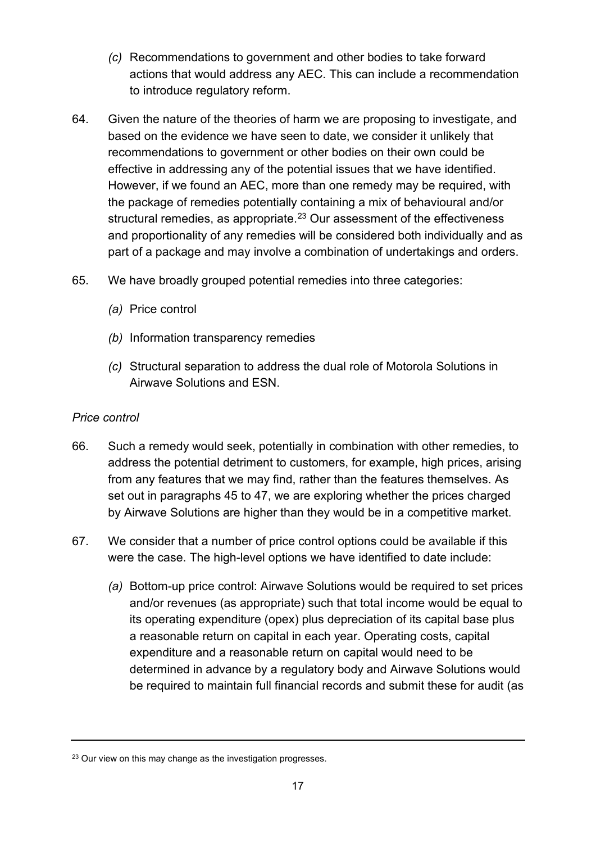- *(c)* Recommendations to government and other bodies to take forward actions that would address any AEC. This can include a recommendation to introduce regulatory reform.
- 64. Given the nature of the theories of harm we are proposing to investigate, and based on the evidence we have seen to date, we consider it unlikely that recommendations to government or other bodies on their own could be effective in addressing any of the potential issues that we have identified. However, if we found an AEC, more than one remedy may be required, with the package of remedies potentially containing a mix of behavioural and/or structural remedies, as appropriate. [23](#page-16-0) Our assessment of the effectiveness and proportionality of any remedies will be considered both individually and as part of a package and may involve a combination of undertakings and orders.
- 65. We have broadly grouped potential remedies into three categories:
	- *(a)* Price control
	- *(b)* Information transparency remedies
	- *(c)* Structural separation to address the dual role of Motorola Solutions in Airwave Solutions and ESN.

#### *Price control*

- 66. Such a remedy would seek, potentially in combination with other remedies, to address the potential detriment to customers, for example, high prices, arising from any features that we may find, rather than the features themselves. As set out in paragraphs [45](#page-11-1) to [47,](#page-12-1) we are exploring whether the prices charged by Airwave Solutions are higher than they would be in a competitive market.
- 67. We consider that a number of price control options could be available if this were the case. The high-level options we have identified to date include:
	- *(a)* Bottom-up price control: Airwave Solutions would be required to set prices and/or revenues (as appropriate) such that total income would be equal to its operating expenditure (opex) plus depreciation of its capital base plus a reasonable return on capital in each year. Operating costs, capital expenditure and a reasonable return on capital would need to be determined in advance by a regulatory body and Airwave Solutions would be required to maintain full financial records and submit these for audit (as

<span id="page-16-0"></span><sup>&</sup>lt;sup>23</sup> Our view on this may change as the investigation progresses.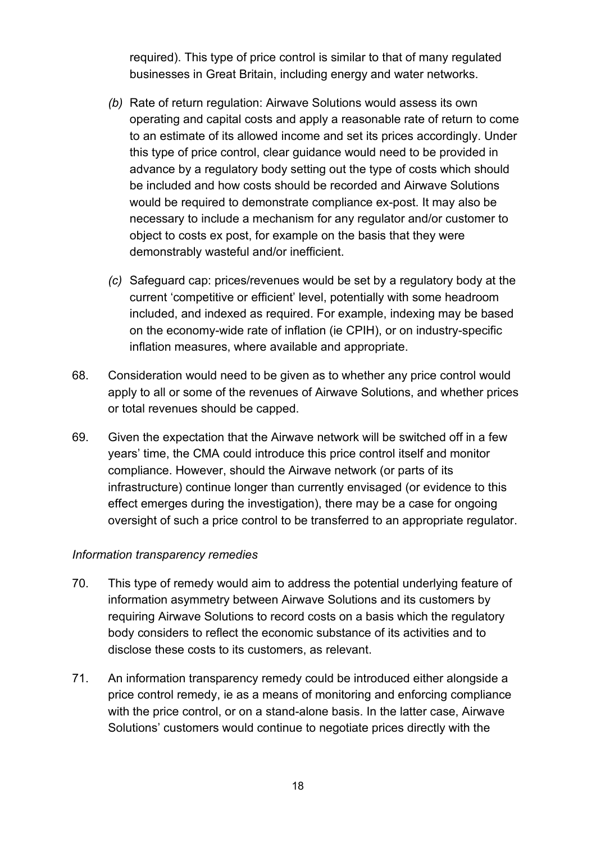required). This type of price control is similar to that of many regulated businesses in Great Britain, including energy and water networks.

- *(b)* Rate of return regulation: Airwave Solutions would assess its own operating and capital costs and apply a reasonable rate of return to come to an estimate of its allowed income and set its prices accordingly. Under this type of price control, clear guidance would need to be provided in advance by a regulatory body setting out the type of costs which should be included and how costs should be recorded and Airwave Solutions would be required to demonstrate compliance ex-post. It may also be necessary to include a mechanism for any regulator and/or customer to object to costs ex post, for example on the basis that they were demonstrably wasteful and/or inefficient.
- *(c)* Safeguard cap: prices/revenues would be set by a regulatory body at the current 'competitive or efficient' level, potentially with some headroom included, and indexed as required. For example, indexing may be based on the economy-wide rate of inflation (ie CPIH), or on industry-specific inflation measures, where available and appropriate.
- 68. Consideration would need to be given as to whether any price control would apply to all or some of the revenues of Airwave Solutions, and whether prices or total revenues should be capped.
- 69. Given the expectation that the Airwave network will be switched off in a few years' time, the CMA could introduce this price control itself and monitor compliance. However, should the Airwave network (or parts of its infrastructure) continue longer than currently envisaged (or evidence to this effect emerges during the investigation), there may be a case for ongoing oversight of such a price control to be transferred to an appropriate regulator.

#### *Information transparency remedies*

- 70. This type of remedy would aim to address the potential underlying feature of information asymmetry between Airwave Solutions and its customers by requiring Airwave Solutions to record costs on a basis which the regulatory body considers to reflect the economic substance of its activities and to disclose these costs to its customers, as relevant.
- 71. An information transparency remedy could be introduced either alongside a price control remedy, ie as a means of monitoring and enforcing compliance with the price control, or on a stand-alone basis. In the latter case, Airwave Solutions' customers would continue to negotiate prices directly with the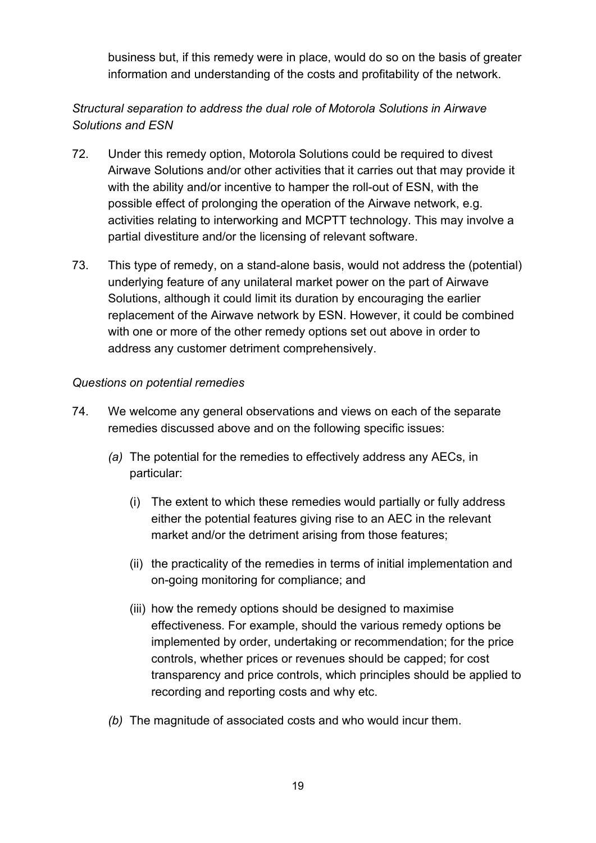business but, if this remedy were in place, would do so on the basis of greater information and understanding of the costs and profitability of the network.

## *Structural separation to address the dual role of Motorola Solutions in Airwave Solutions and ESN*

- 72. Under this remedy option, Motorola Solutions could be required to divest Airwave Solutions and/or other activities that it carries out that may provide it with the ability and/or incentive to hamper the roll-out of ESN, with the possible effect of prolonging the operation of the Airwave network, e.g. activities relating to interworking and MCPTT technology. This may involve a partial divestiture and/or the licensing of relevant software.
- <span id="page-18-0"></span>73. This type of remedy, on a stand-alone basis, would not address the (potential) underlying feature of any unilateral market power on the part of Airwave Solutions, although it could limit its duration by encouraging the earlier replacement of the Airwave network by ESN. However, it could be combined with one or more of the other remedy options set out above in order to address any customer detriment comprehensively.

#### *Questions on potential remedies*

- 74. We welcome any general observations and views on each of the separate remedies discussed above and on the following specific issues:
	- *(a)* The potential for the remedies to effectively address any AECs, in particular:
		- (i) The extent to which these remedies would partially or fully address either the potential features giving rise to an AEC in the relevant market and/or the detriment arising from those features;
		- (ii) the practicality of the remedies in terms of initial implementation and on-going monitoring for compliance; and
		- (iii) how the remedy options should be designed to maximise effectiveness. For example, should the various remedy options be implemented by order, undertaking or recommendation; for the price controls, whether prices or revenues should be capped; for cost transparency and price controls, which principles should be applied to recording and reporting costs and why etc.
	- *(b)* The magnitude of associated costs and who would incur them.